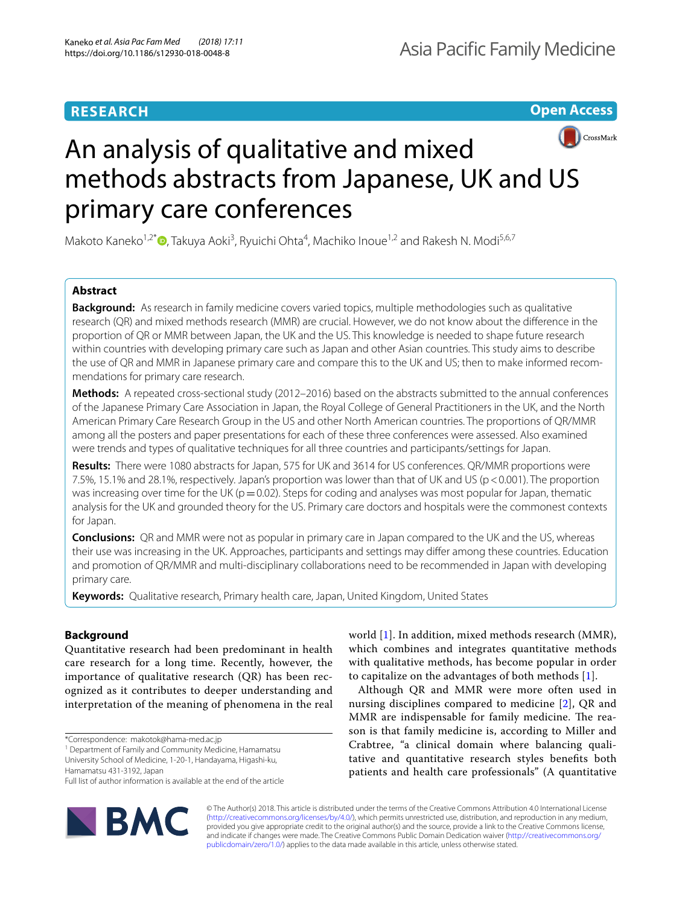# **RESEARCH**

**Open Access**



# An analysis of qualitative and mixed methods abstracts from Japanese, UK and US primary care conferences

Makoto Kaneko<sup>1,2[\\*](http://orcid.org/0000-0002-4581-8274)</sup>®, Takuya Aoki<sup>3</sup>, Ryuichi Ohta<sup>4</sup>, Machiko Inoue<sup>1,2</sup> and Rakesh N. Modi<sup>5,6,7</sup>

# **Abstract**

**Background:** As research in family medicine covers varied topics, multiple methodologies such as qualitative research (QR) and mixed methods research (MMR) are crucial. However, we do not know about the diference in the proportion of QR or MMR between Japan, the UK and the US. This knowledge is needed to shape future research within countries with developing primary care such as Japan and other Asian countries. This study aims to describe the use of QR and MMR in Japanese primary care and compare this to the UK and US; then to make informed recommendations for primary care research.

**Methods:** A repeated cross-sectional study (2012–2016) based on the abstracts submitted to the annual conferences of the Japanese Primary Care Association in Japan, the Royal College of General Practitioners in the UK, and the North American Primary Care Research Group in the US and other North American countries. The proportions of QR/MMR among all the posters and paper presentations for each of these three conferences were assessed. Also examined were trends and types of qualitative techniques for all three countries and participants/settings for Japan.

**Results:** There were 1080 abstracts for Japan, 575 for UK and 3614 for US conferences. QR/MMR proportions were 7.5%, 15.1% and 28.1%, respectively. Japan's proportion was lower than that of UK and US (p<0.001). The proportion was increasing over time for the UK ( $p=0.02$ ). Steps for coding and analyses was most popular for Japan, thematic analysis for the UK and grounded theory for the US. Primary care doctors and hospitals were the commonest contexts for Japan.

**Conclusions:** QR and MMR were not as popular in primary care in Japan compared to the UK and the US, whereas their use was increasing in the UK. Approaches, participants and settings may difer among these countries. Education and promotion of QR/MMR and multi-disciplinary collaborations need to be recommended in Japan with developing primary care.

**Keywords:** Qualitative research, Primary health care, Japan, United Kingdom, United States

# **Background**

Quantitative research had been predominant in health care research for a long time. Recently, however, the importance of qualitative research (QR) has been recognized as it contributes to deeper understanding and interpretation of the meaning of phenomena in the real

<sup>1</sup> Department of Family and Community Medicine, Hamamatsu University School of Medicine, 1-20-1, Handayama, Higashi-ku,

Full list of author information is available at the end of the article



world [[1\]](#page-5-0). In addition, mixed methods research (MMR), which combines and integrates quantitative methods with qualitative methods, has become popular in order to capitalize on the advantages of both methods  $[1]$  $[1]$ .

Although QR and MMR were more often used in nursing disciplines compared to medicine [\[2\]](#page-5-1), QR and MMR are indispensable for family medicine. The reason is that family medicine is, according to Miller and Crabtree, "a clinical domain where balancing qualitative and quantitative research styles benefts both patients and health care professionals" (A quantitative

© The Author(s) 2018. This article is distributed under the terms of the Creative Commons Attribution 4.0 International License [\(http://creativecommons.org/licenses/by/4.0/\)](http://creativecommons.org/licenses/by/4.0/), which permits unrestricted use, distribution, and reproduction in any medium, provided you give appropriate credit to the original author(s) and the source, provide a link to the Creative Commons license, and indicate if changes were made. The Creative Commons Public Domain Dedication waiver ([http://creativecommons.org/](http://creativecommons.org/publicdomain/zero/1.0/) [publicdomain/zero/1.0/](http://creativecommons.org/publicdomain/zero/1.0/)) applies to the data made available in this article, unless otherwise stated.

<sup>\*</sup>Correspondence: makotok@hama-med.ac.jp 1

Hamamatsu 431-3192, Japan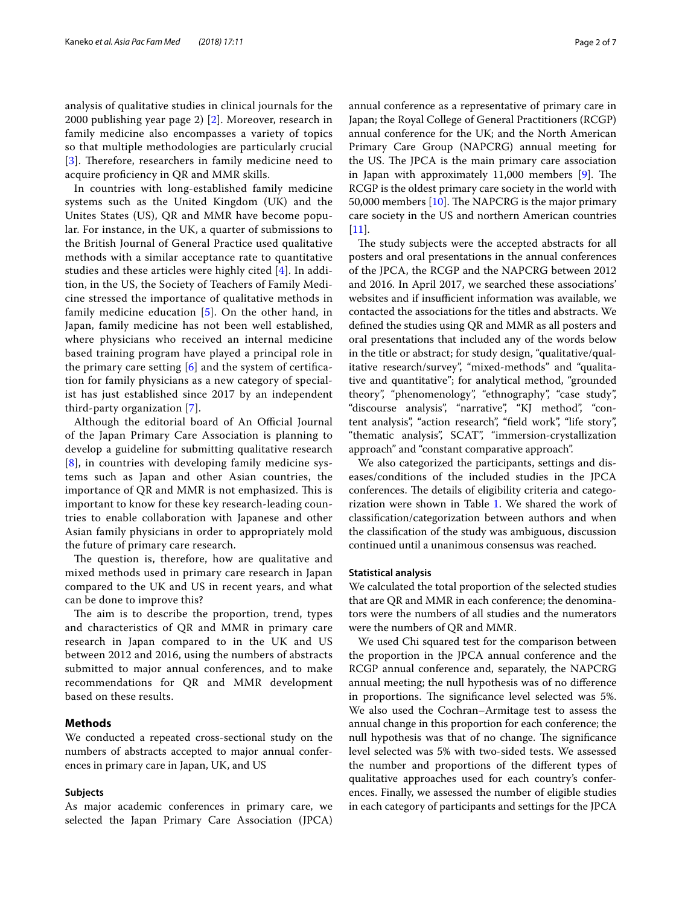analysis of qualitative studies in clinical journals for the 2000 publishing year page 2) [\[2](#page-5-1)]. Moreover, research in family medicine also encompasses a variety of topics so that multiple methodologies are particularly crucial [[3](#page-5-2)]. Therefore, researchers in family medicine need to acquire profciency in QR and MMR skills.

In countries with long-established family medicine systems such as the United Kingdom (UK) and the Unites States (US), QR and MMR have become popular. For instance, in the UK, a quarter of submissions to the British Journal of General Practice used qualitative methods with a similar acceptance rate to quantitative studies and these articles were highly cited [[4\]](#page-5-3). In addition, in the US, the Society of Teachers of Family Medicine stressed the importance of qualitative methods in family medicine education [[5\]](#page-5-4). On the other hand, in Japan, family medicine has not been well established, where physicians who received an internal medicine based training program have played a principal role in the primary care setting  $[6]$  $[6]$  and the system of certification for family physicians as a new category of specialist has just established since 2017 by an independent third-party organization [[7](#page-6-0)].

Although the editorial board of An Official Journal of the Japan Primary Care Association is planning to develop a guideline for submitting qualitative research [[8](#page-6-1)], in countries with developing family medicine systems such as Japan and other Asian countries, the importance of QR and MMR is not emphasized. This is important to know for these key research-leading countries to enable collaboration with Japanese and other Asian family physicians in order to appropriately mold the future of primary care research.

The question is, therefore, how are qualitative and mixed methods used in primary care research in Japan compared to the UK and US in recent years, and what can be done to improve this?

The aim is to describe the proportion, trend, types and characteristics of QR and MMR in primary care research in Japan compared to in the UK and US between 2012 and 2016, using the numbers of abstracts submitted to major annual conferences, and to make recommendations for QR and MMR development based on these results.

### **Methods**

We conducted a repeated cross-sectional study on the numbers of abstracts accepted to major annual conferences in primary care in Japan, UK, and US

#### **Subjects**

As major academic conferences in primary care, we selected the Japan Primary Care Association (JPCA)

annual conference as a representative of primary care in Japan; the Royal College of General Practitioners (RCGP) annual conference for the UK; and the North American Primary Care Group (NAPCRG) annual meeting for the US. The JPCA is the main primary care association in Japan with approximately  $11,000$  members  $[9]$  $[9]$ . The RCGP is the oldest primary care society in the world with 50,000 members  $[10]$  $[10]$ . The NAPCRG is the major primary care society in the US and northern American countries  $[11]$  $[11]$ .

The study subjects were the accepted abstracts for all posters and oral presentations in the annual conferences of the JPCA, the RCGP and the NAPCRG between 2012 and 2016. In April 2017, we searched these associations' websites and if insufficient information was available, we contacted the associations for the titles and abstracts. We defned the studies using QR and MMR as all posters and oral presentations that included any of the words below in the title or abstract; for study design, "qualitative/qualitative research/survey", "mixed-methods" and "qualitative and quantitative"; for analytical method, "grounded theory", "phenomenology", "ethnography", "case study", "discourse analysis", "narrative", "KJ method", "content analysis", "action research", "feld work", "life story", "thematic analysis", SCAT", "immersion-crystallization approach" and "constant comparative approach".

We also categorized the participants, settings and diseases/conditions of the included studies in the JPCA conferences. The details of eligibility criteria and categorization were shown in Table [1.](#page-2-0) We shared the work of classifcation/categorization between authors and when the classifcation of the study was ambiguous, discussion continued until a unanimous consensus was reached.

# **Statistical analysis**

We calculated the total proportion of the selected studies that are QR and MMR in each conference; the denominators were the numbers of all studies and the numerators were the numbers of QR and MMR.

We used Chi squared test for the comparison between the proportion in the JPCA annual conference and the RCGP annual conference and, separately, the NAPCRG annual meeting; the null hypothesis was of no diference in proportions. The significance level selected was 5%. We also used the Cochran–Armitage test to assess the annual change in this proportion for each conference; the null hypothesis was that of no change. The significance level selected was 5% with two-sided tests. We assessed the number and proportions of the diferent types of qualitative approaches used for each country's conferences. Finally, we assessed the number of eligible studies in each category of participants and settings for the JPCA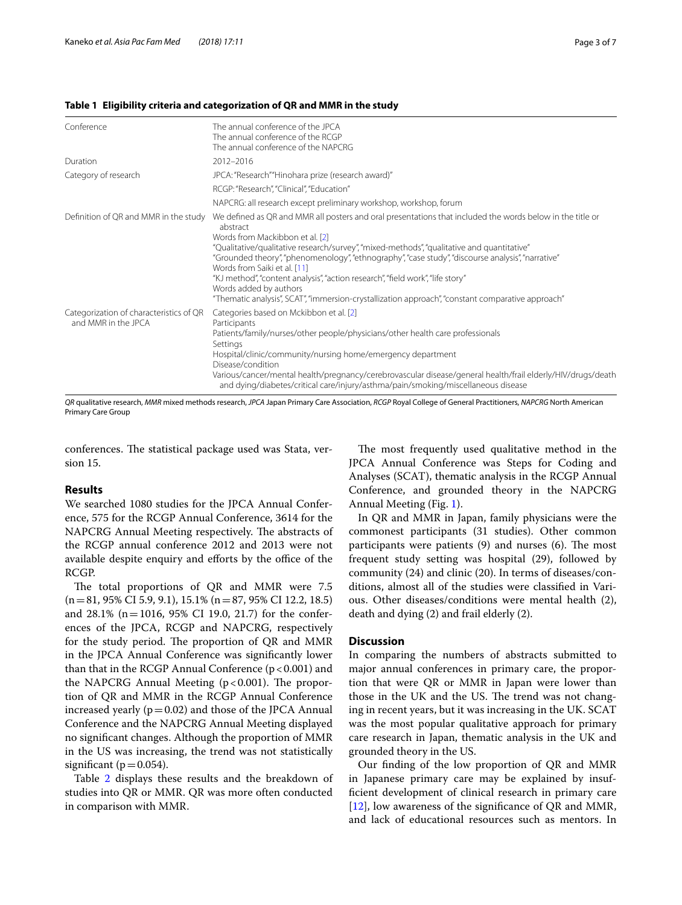#### <span id="page-2-0"></span>**Table 1 Eligibility criteria and categorization of QR and MMR in the study**

| Conference                                                     | The annual conference of the JPCA<br>The annual conference of the RCGP<br>The annual conference of the NAPCRG                                                                                                                                                                                                                                                                                                                                                                                                                                                                                                 |  |  |  |  |
|----------------------------------------------------------------|---------------------------------------------------------------------------------------------------------------------------------------------------------------------------------------------------------------------------------------------------------------------------------------------------------------------------------------------------------------------------------------------------------------------------------------------------------------------------------------------------------------------------------------------------------------------------------------------------------------|--|--|--|--|
| Duration                                                       | 2012-2016                                                                                                                                                                                                                                                                                                                                                                                                                                                                                                                                                                                                     |  |  |  |  |
| Category of research                                           | JPCA: "Research" "Hinohara prize (research award)"                                                                                                                                                                                                                                                                                                                                                                                                                                                                                                                                                            |  |  |  |  |
|                                                                | RCGP: "Research", "Clinical", "Education"                                                                                                                                                                                                                                                                                                                                                                                                                                                                                                                                                                     |  |  |  |  |
|                                                                | NAPCRG: all research except preliminary workshop, workshop, forum                                                                                                                                                                                                                                                                                                                                                                                                                                                                                                                                             |  |  |  |  |
| Definition of QR and MMR in the study                          | We defined as QR and MMR all posters and oral presentations that included the words below in the title or<br>abstract<br>Words from Mackibbon et al. [2]<br>"Qualitative/qualitative research/survey", "mixed-methods", "qualitative and quantitative"<br>"Grounded theory", "phenomenology", "ethnography", "case study", "discourse analysis", "narrative"<br>Words from Saiki et al. [11]<br>"KJ method", "content analysis", "action research", "field work", "life story"<br>Words added by authors<br>"Thematic analysis", SCAT", "immersion-crystallization approach", "constant comparative approach" |  |  |  |  |
| Categorization of characteristics of QR<br>and MMR in the JPCA | Categories based on Mckibbon et al. [2]<br>Participants<br>Patients/family/nurses/other people/physicians/other health care professionals<br>Settings<br>Hospital/clinic/community/nursing home/emergency department<br>Disease/condition<br>Various/cancer/mental health/pregnancy/cerebrovascular disease/general health/frail elderly/HIV/drugs/death<br>and dying/diabetes/critical care/injury/asthma/pain/smoking/miscellaneous disease                                                                                                                                                                 |  |  |  |  |

*QR* qualitative research, *MMR* mixed methods research, *JPCA* Japan Primary Care Association, *RCGP* Royal College of General Practitioners, *NAPCRG* North American Primary Care Group

conferences. The statistical package used was Stata, version 15.

#### **Results**

We searched 1080 studies for the JPCA Annual Conference, 575 for the RCGP Annual Conference, 3614 for the NAPCRG Annual Meeting respectively. The abstracts of the RCGP annual conference 2012 and 2013 were not available despite enquiry and efforts by the office of the RCGP.

The total proportions of QR and MMR were 7.5  $(n=81, 95\% \text{ CI } 5.9, 9.1), 15.1\% \text{ (n}=87, 95\% \text{ CI } 12.2, 18.5)$ and 28.1% (n=1016, 95% CI 19.0, 21.7) for the conferences of the JPCA, RCGP and NAPCRG, respectively for the study period. The proportion of QR and MMR in the JPCA Annual Conference was signifcantly lower than that in the RCGP Annual Conference  $(p < 0.001)$  and the NAPCRG Annual Meeting  $(p < 0.001)$ . The proportion of QR and MMR in the RCGP Annual Conference increased yearly  $(p=0.02)$  and those of the JPCA Annual Conference and the NAPCRG Annual Meeting displayed no signifcant changes. Although the proportion of MMR in the US was increasing, the trend was not statistically significant ( $p=0.054$ ).

Table [2](#page-3-0) displays these results and the breakdown of studies into QR or MMR. QR was more often conducted in comparison with MMR.

The most frequently used qualitative method in the JPCA Annual Conference was Steps for Coding and Analyses (SCAT), thematic analysis in the RCGP Annual Conference, and grounded theory in the NAPCRG Annual Meeting (Fig. [1\)](#page-3-1).

In QR and MMR in Japan, family physicians were the commonest participants (31 studies). Other common participants were patients  $(9)$  and nurses  $(6)$ . The most frequent study setting was hospital (29), followed by community (24) and clinic (20). In terms of diseases/conditions, almost all of the studies were classifed in Various. Other diseases/conditions were mental health (2), death and dying (2) and frail elderly (2).

#### **Discussion**

In comparing the numbers of abstracts submitted to major annual conferences in primary care, the proportion that were QR or MMR in Japan were lower than those in the UK and the US. The trend was not changing in recent years, but it was increasing in the UK. SCAT was the most popular qualitative approach for primary care research in Japan, thematic analysis in the UK and grounded theory in the US.

Our fnding of the low proportion of QR and MMR in Japanese primary care may be explained by insuffcient development of clinical research in primary care [[12\]](#page-6-5), low awareness of the signifcance of QR and MMR, and lack of educational resources such as mentors. In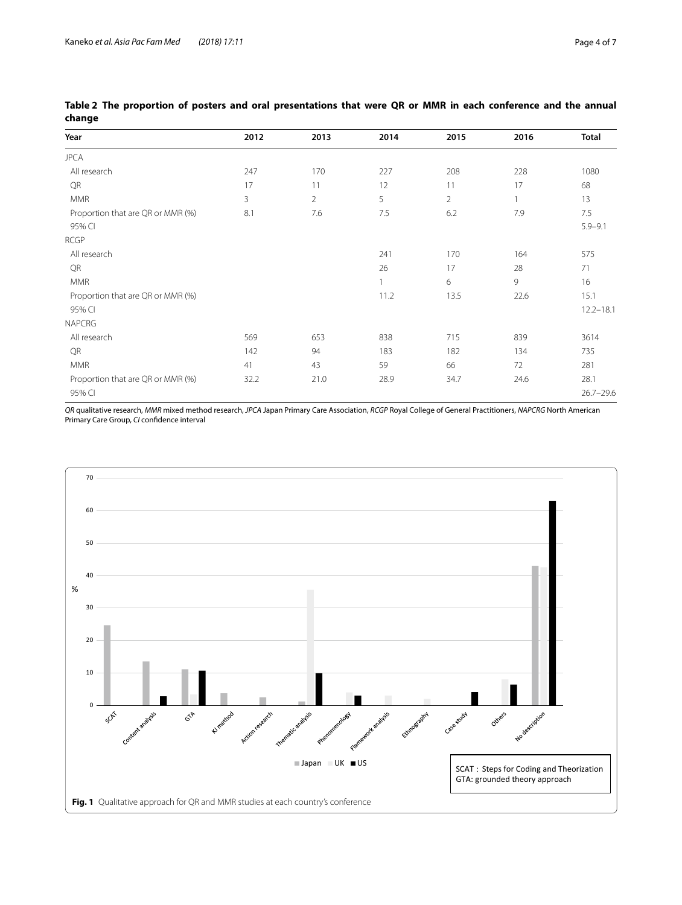| Year                              | 2012 | 2013           | 2014 | 2015           | 2016 | <b>Total</b>  |
|-----------------------------------|------|----------------|------|----------------|------|---------------|
| <b>JPCA</b>                       |      |                |      |                |      |               |
| All research                      | 247  | 170            | 227  | 208            | 228  | 1080          |
| QR                                | 17   | 11             | 12   | 11             | 17   | 68            |
| <b>MMR</b>                        | 3    | $\overline{2}$ | 5    | $\overline{2}$ |      | 13            |
| Proportion that are QR or MMR (%) | 8.1  | 7.6            | 7.5  | 6.2            | 7.9  | 7.5           |
| 95% CI                            |      |                |      |                |      | $5.9 - 9.1$   |
| <b>RCGP</b>                       |      |                |      |                |      |               |
| All research                      |      |                | 241  | 170            | 164  | 575           |
| QR                                |      |                | 26   | 17             | 28   | 71            |
| <b>MMR</b>                        |      |                | 1    | 6              | 9    | 16            |
| Proportion that are QR or MMR (%) |      |                | 11.2 | 13.5           | 22.6 | 15.1          |
| 95% CI                            |      |                |      |                |      | $12.2 - 18.1$ |
| <b>NAPCRG</b>                     |      |                |      |                |      |               |
| All research                      | 569  | 653            | 838  | 715            | 839  | 3614          |
| QR                                | 142  | 94             | 183  | 182            | 134  | 735           |
| <b>MMR</b>                        | 41   | 43             | 59   | 66             | 72   | 281           |
| Proportion that are QR or MMR (%) | 32.2 | 21.0           | 28.9 | 34.7           | 24.6 | 28.1          |
| 95% CI                            |      |                |      |                |      | $26.7 - 29.6$ |

<span id="page-3-0"></span>**Table 2 The proportion of posters and oral presentations that were QR or MMR in each conference and the annual change**

*QR* qualitative research, *MMR* mixed method research, *JPCA* Japan Primary Care Association, *RCGP* Royal College of General Practitioners, *NAPCRG* North American Primary Care Group, *CI* confdence interval

<span id="page-3-1"></span>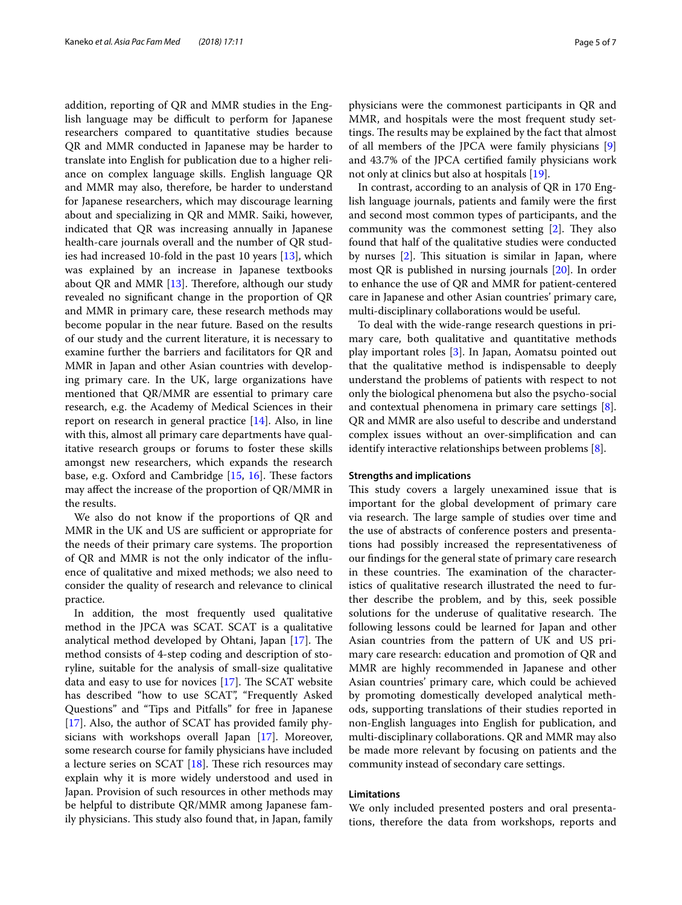addition, reporting of QR and MMR studies in the English language may be difficult to perform for Japanese researchers compared to quantitative studies because QR and MMR conducted in Japanese may be harder to translate into English for publication due to a higher reliance on complex language skills. English language QR and MMR may also, therefore, be harder to understand for Japanese researchers, which may discourage learning about and specializing in QR and MMR. Saiki, however, indicated that QR was increasing annually in Japanese health-care journals overall and the number of QR studies had increased 10-fold in the past 10 years [[13\]](#page-6-6), which was explained by an increase in Japanese textbooks about QR and MMR  $[13]$  $[13]$ . Therefore, although our study revealed no signifcant change in the proportion of QR and MMR in primary care, these research methods may become popular in the near future. Based on the results of our study and the current literature, it is necessary to examine further the barriers and facilitators for QR and MMR in Japan and other Asian countries with developing primary care. In the UK, large organizations have mentioned that QR/MMR are essential to primary care research, e.g. the Academy of Medical Sciences in their report on research in general practice  $[14]$  $[14]$ . Also, in line with this, almost all primary care departments have qualitative research groups or forums to foster these skills amongst new researchers, which expands the research base, e.g. Oxford and Cambridge  $[15, 16]$  $[15, 16]$  $[15, 16]$ . These factors may afect the increase of the proportion of QR/MMR in the results.

We also do not know if the proportions of QR and MMR in the UK and US are sufficient or appropriate for the needs of their primary care systems. The proportion of QR and MMR is not the only indicator of the infuence of qualitative and mixed methods; we also need to consider the quality of research and relevance to clinical practice.

In addition, the most frequently used qualitative method in the JPCA was SCAT. SCAT is a qualitative analytical method developed by Ohtani, Japan [\[17](#page-6-10)]. The method consists of 4-step coding and description of storyline, suitable for the analysis of small-size qualitative data and easy to use for novices  $[17]$  $[17]$ . The SCAT website has described "how to use SCAT", "Frequently Asked Questions" and "Tips and Pitfalls" for free in Japanese [[17\]](#page-6-10). Also, the author of SCAT has provided family physicians with workshops overall Japan [[17\]](#page-6-10). Moreover, some research course for family physicians have included a lecture series on SCAT  $[18]$  $[18]$ . These rich resources may explain why it is more widely understood and used in Japan. Provision of such resources in other methods may be helpful to distribute QR/MMR among Japanese family physicians. This study also found that, in Japan, family physicians were the commonest participants in QR and MMR, and hospitals were the most frequent study settings. The results may be explained by the fact that almost of all members of the JPCA were family physicians [\[9](#page-6-2)] and 43.7% of the JPCA certifed family physicians work not only at clinics but also at hospitals [\[19](#page-6-12)].

In contrast, according to an analysis of QR in 170 English language journals, patients and family were the frst and second most common types of participants, and the community was the commonest setting  $[2]$  $[2]$ . They also found that half of the qualitative studies were conducted by nurses  $[2]$  $[2]$ . This situation is similar in Japan, where most QR is published in nursing journals [\[20](#page-6-13)]. In order to enhance the use of QR and MMR for patient-centered care in Japanese and other Asian countries' primary care, multi-disciplinary collaborations would be useful.

To deal with the wide-range research questions in primary care, both qualitative and quantitative methods play important roles [[3\]](#page-5-2). In Japan, Aomatsu pointed out that the qualitative method is indispensable to deeply understand the problems of patients with respect to not only the biological phenomena but also the psycho-social and contextual phenomena in primary care settings [\[8](#page-6-1)]. QR and MMR are also useful to describe and understand complex issues without an over-simplifcation and can identify interactive relationships between problems [\[8](#page-6-1)].

#### **Strengths and implications**

This study covers a largely unexamined issue that is important for the global development of primary care via research. The large sample of studies over time and the use of abstracts of conference posters and presentations had possibly increased the representativeness of our fndings for the general state of primary care research in these countries. The examination of the characteristics of qualitative research illustrated the need to further describe the problem, and by this, seek possible solutions for the underuse of qualitative research. The following lessons could be learned for Japan and other Asian countries from the pattern of UK and US primary care research: education and promotion of QR and MMR are highly recommended in Japanese and other Asian countries' primary care, which could be achieved by promoting domestically developed analytical methods, supporting translations of their studies reported in non-English languages into English for publication, and multi-disciplinary collaborations. QR and MMR may also be made more relevant by focusing on patients and the community instead of secondary care settings.

# **Limitations**

We only included presented posters and oral presentations, therefore the data from workshops, reports and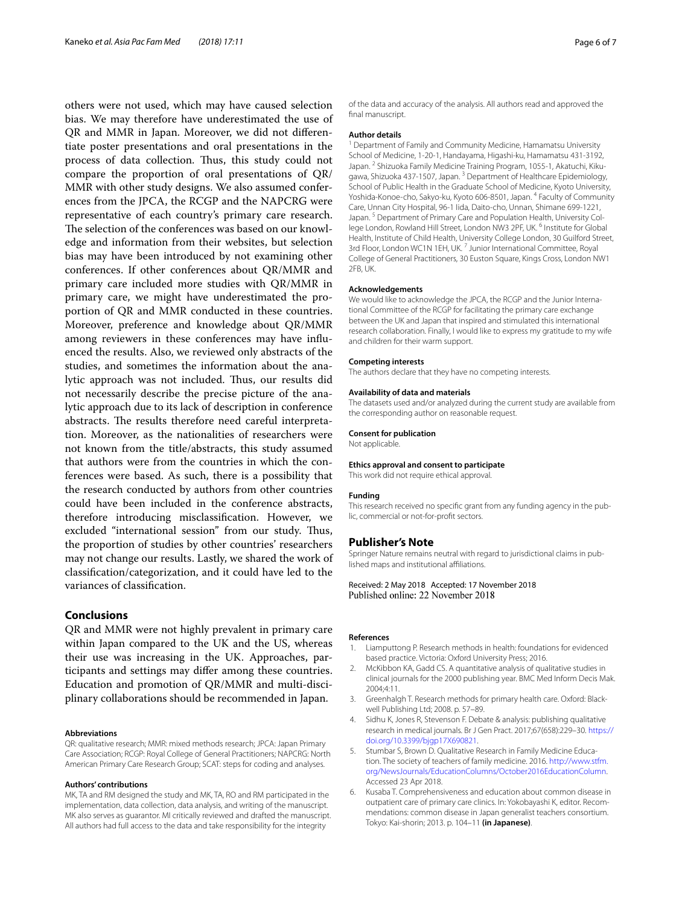others were not used, which may have caused selection bias. We may therefore have underestimated the use of QR and MMR in Japan. Moreover, we did not diferentiate poster presentations and oral presentations in the process of data collection. Thus, this study could not compare the proportion of oral presentations of QR/ MMR with other study designs. We also assumed conferences from the JPCA, the RCGP and the NAPCRG were representative of each country's primary care research. The selection of the conferences was based on our knowledge and information from their websites, but selection bias may have been introduced by not examining other conferences. If other conferences about QR/MMR and primary care included more studies with QR/MMR in primary care, we might have underestimated the proportion of QR and MMR conducted in these countries. Moreover, preference and knowledge about QR/MMR among reviewers in these conferences may have infuenced the results. Also, we reviewed only abstracts of the studies, and sometimes the information about the analytic approach was not included. Thus, our results did not necessarily describe the precise picture of the analytic approach due to its lack of description in conference abstracts. The results therefore need careful interpretation. Moreover, as the nationalities of researchers were not known from the title/abstracts, this study assumed that authors were from the countries in which the conferences were based. As such, there is a possibility that the research conducted by authors from other countries could have been included in the conference abstracts, therefore introducing misclassifcation. However, we excluded "international session" from our study. Thus, the proportion of studies by other countries' researchers may not change our results. Lastly, we shared the work of classifcation/categorization, and it could have led to the variances of classifcation.

# **Conclusions**

QR and MMR were not highly prevalent in primary care within Japan compared to the UK and the US, whereas their use was increasing in the UK. Approaches, participants and settings may difer among these countries. Education and promotion of QR/MMR and multi-disciplinary collaborations should be recommended in Japan.

#### **Abbreviations**

QR: qualitative research; MMR: mixed methods research; JPCA: Japan Primary Care Association; RCGP: Royal College of General Practitioners; NAPCRG: North American Primary Care Research Group; SCAT: steps for coding and analyses.

#### **Authors' contributions**

MK, TA and RM designed the study and MK, TA, RO and RM participated in the implementation, data collection, data analysis, and writing of the manuscript. MK also serves as guarantor. MI critically reviewed and drafted the manuscript. All authors had full access to the data and take responsibility for the integrity

of the data and accuracy of the analysis. All authors read and approved the fnal manuscript.

#### **Author details**

<sup>1</sup> Department of Family and Community Medicine, Hamamatsu University School of Medicine, 1-20-1, Handayama, Higashi-ku, Hamamatsu 431-3192, Japan. <sup>2</sup> Shizuoka Family Medicine Training Program, 1055-1, Akatuchi, Kikugawa, Shizuoka 437-1507, Japan. <sup>3</sup> Department of Healthcare Epidemiology, School of Public Health in the Graduate School of Medicine, Kyoto University, Yoshida-Konoe-cho, Sakyo-ku, Kyoto 606-8501, Japan. <sup>4</sup> Faculty of Community Care, Unnan City Hospital, 96-1 Iida, Daito-cho, Unnan, Shimane 699-1221, Japan.<sup>5</sup> Department of Primary Care and Population Health, University College London, Rowland Hill Street, London NW3 2PF, UK. <sup>6</sup> Institute for Global Health, Institute of Child Health, University College London, 30 Guilford Street, 3rd Floor, London WC1N 1EH, UK.<sup>7</sup> Junior International Committee, Royal College of General Practitioners, 30 Euston Square, Kings Cross, London NW1 2FB, UK.

#### **Acknowledgements**

We would like to acknowledge the JPCA, the RCGP and the Junior International Committee of the RCGP for facilitating the primary care exchange between the UK and Japan that inspired and stimulated this international research collaboration. Finally, I would like to express my gratitude to my wife and children for their warm support.

#### **Competing interests**

The authors declare that they have no competing interests.

#### **Availability of data and materials**

The datasets used and/or analyzed during the current study are available from the corresponding author on reasonable request.

#### **Consent for publication**

Not applicable.

#### **Ethics approval and consent to participate**

This work did not require ethical approval.

#### **Funding**

This research received no specifc grant from any funding agency in the public, commercial or not-for-proft sectors.

#### **Publisher's Note**

Springer Nature remains neutral with regard to jurisdictional claims in published maps and institutional afliations.

# Received: 2 May 2018 Accepted: 17 November 2018

#### **References**

- <span id="page-5-0"></span>1. Liamputtong P. Research methods in health: foundations for evidenced based practice. Victoria: Oxford University Press; 2016.
- <span id="page-5-1"></span>2. McKibbon KA, Gadd CS. A quantitative analysis of qualitative studies in clinical journals for the 2000 publishing year. BMC Med Inform Decis Mak. 2004;4:11.
- <span id="page-5-2"></span>3. Greenhalgh T. Research methods for primary health care. Oxford: Blackwell Publishing Ltd; 2008. p. 57–89.
- <span id="page-5-3"></span>Sidhu K, Jones R, Stevenson F. Debate & analysis: publishing qualitative research in medical journals. Br J Gen Pract. 2017;67(658):229–30. [https://](https://doi.org/10.3399/bjgp17X690821) [doi.org/10.3399/bjgp17X690821.](https://doi.org/10.3399/bjgp17X690821)
- <span id="page-5-4"></span>5. Stumbar S, Brown D. Qualitative Research in Family Medicine Education. The society of teachers of family medicine. 2016. [http://www.stfm.](http://www.stfm.org/NewsJournals/EducationColumns/October2016EducationColumn) [org/NewsJournals/EducationColumns/October2016EducationColumn.](http://www.stfm.org/NewsJournals/EducationColumns/October2016EducationColumn) Accessed 23 Apr 2018.
- <span id="page-5-5"></span>6. Kusaba T. Comprehensiveness and education about common disease in outpatient care of primary care clinics. In: Yokobayashi K, editor. Recommendations: common disease in Japan generalist teachers consortium. Tokyo: Kai-shorin; 2013. p. 104–11 **(in Japanese)**.